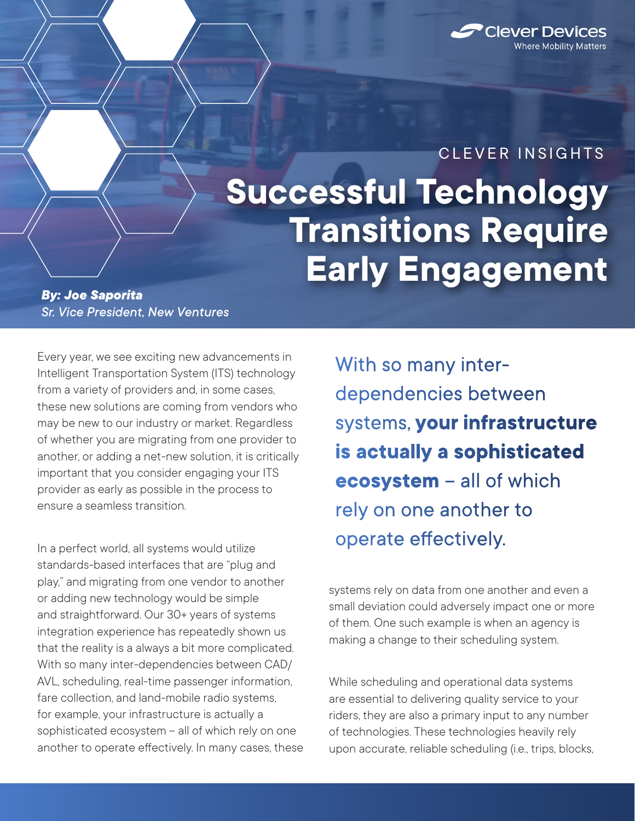

## **Successful Technology Transitions Require Early Engagement** CLEVER INSIGHTS

## *By: Joe Saporita Sr. Vice President, New Ventures*

Every year, we see exciting new advancements in Intelligent Transportation System (ITS) technology from a variety of providers and, in some cases, these new solutions are coming from vendors who may be new to our industry or market. Regardless of whether you are migrating from one provider to another, or adding a net-new solution, it is critically important that you consider engaging your ITS provider as early as possible in the process to ensure a seamless transition.

In a perfect world, all systems would utilize standards-based interfaces that are "plug and play," and migrating from one vendor to another or adding new technology would be simple and straightforward. Our 30+ years of systems integration experience has repeatedly shown us that the reality is a always a bit more complicated. With so many inter-dependencies between CAD/ AVL, scheduling, real-time passenger information, fare collection, and land-mobile radio systems, for example, your infrastructure is actually a sophisticated ecosystem – all of which rely on one another to operate effectively. In many cases, these With so many interdependencies between systems, **your infrastructure is actually a sophisticated ecosystem** – all of which rely on one another to operate effectively.

systems rely on data from one another and even a small deviation could adversely impact one or more of them. One such example is when an agency is making a change to their scheduling system.

While scheduling and operational data systems are essential to delivering quality service to your riders, they are also a primary input to any number of technologies. These technologies heavily rely upon accurate, reliable scheduling (i.e., trips, blocks,